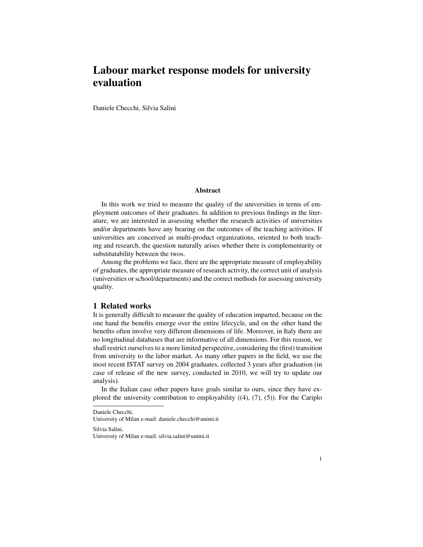# Labour market response models for university evaluation

Daniele Checchi, Silvia Salini

#### Abstract

In this work we tried to measure the quality of the universities in terms of employment outcomes of their graduates. In addition to previous findings in the literature, we are interested in assessing whether the research activities of universities and/or departments have any bearing on the outcomes of the teaching activities. If universities are conceived as multi-product organizations, oriented to both teaching and research, the question naturally arises whether there is complementarity or substitutability between the twos.

Among the problems we face, there are the appropriate measure of employability of graduates, the appropriate measure of research activity, the correct unit of analysis (universities or school/departments) and the correct methods for assessing university quality.

## 1 Related works

It is generally difficult to measure the quality of education imparted, because on the one hand the benefits emerge over the entire lifecycle, and on the other hand the benefits often involve very different dimensions of life. Moreover, in Italy there are no longitudinal databases that are informative of all dimensions. For this reason, we shall restrict ourselves to a more limited perspective, considering the (first) transition from university to the labor market. As many other papers in the field, we use the most recent ISTAT survey on 2004 graduates, collected 3 years after graduation (in case of release of the new survey, conducted in 2010, we will try to update our analysis).

In the Italian case other papers have goals similar to ours, since they have explored the university contribution to employability ((4), (7), (5)). For the Cariplo

Silvia Salini, University of Milan e-mail: silvia.salini@unimi.it

Daniele Checchi,

University of Milan e-mail: daniele.checchi@unimi.it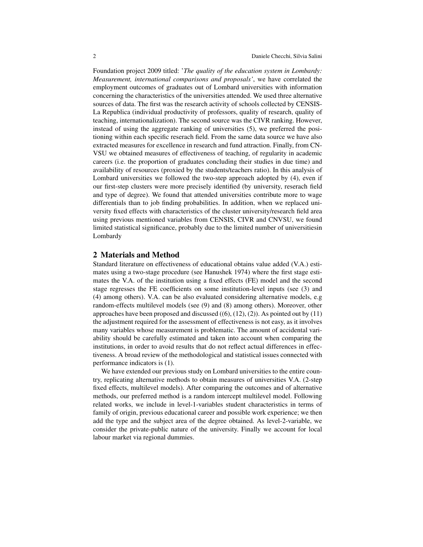Foundation project 2009 titled: '*The quality of the education system in Lombardy: Measurement, international comparisons and proposals'*, we have correlated the employment outcomes of graduates out of Lombard universities with information concerning the characteristics of the universities attended. We used three alternative sources of data. The first was the research activity of schools collected by CENSIS-La Republica (individual productivity of professors, quality of research, quality of teaching, internationalization). The second source was the CIVR ranking. However, instead of using the aggregate ranking of universities (5), we preferred the positioning within each specific reserach field. From the same data source we have also extracted measures for excellence in research and fund attraction. Finally, from CN-VSU we obtained measures of effectiveness of teaching, of regularity in academic careers (i.e. the proportion of graduates concluding their studies in due time) and availability of resources (proxied by the students/teachers ratio). In this analysis of Lombard universities we followed the two-step approach adopted by (4), even if our first-step clusters were more precisely identified (by university, reserach field and type of degree). We found that attended universities contribute more to wage differentials than to job finding probabilities. In addition, when we replaced university fixed effects with characteristics of the cluster university/research field area using previous mentioned variables from CENSIS, CIVR and CNVSU, we found limited statistical significance, probably due to the limited number of universitiesin Lombardy

## 2 Materials and Method

Standard literature on effectiveness of educational obtains value added (V.A.) estimates using a two-stage procedure (see Hanushek 1974) where the first stage estimates the V.A. of the institution using a fixed effects (FE) model and the second stage regresses the FE coefficients on some institution-level inputs (see (3) and (4) among others). V.A. can be also evaluated considering alternative models, e.g random-effects multilevel models (see (9) and (8) among others). Moreover, other approaches have been proposed and discussed  $((6), (12), (2))$ . As pointed out by  $(11)$ the adjustment required for the assessment of effectiveness is not easy, as it involves many variables whose measurement is problematic. The amount of accidental variability should be carefully estimated and taken into account when comparing the institutions, in order to avoid results that do not reflect actual differences in effectiveness. A broad review of the methodological and statistical issues connected with performance indicators is (1).

We have extended our previous study on Lombard universities to the entire country, replicating alternative methods to obtain measures of universities V.A. (2-step fixed effects, multilevel models). After comparing the outcomes and of alternative methods, our preferred method is a random intercept multilevel model. Following related works, we include in level-1-variables student characteristics in terms of family of origin, previous educational career and possible work experience; we then add the type and the subject area of the degree obtained. As level-2-variable, we consider the private-public nature of the university. Finally we account for local labour market via regional dummies.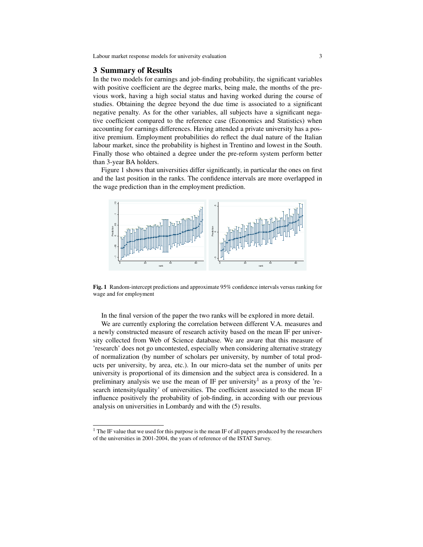#### 3 Summary of Results

In the two models for earnings and job-finding probability, the significant variables with positive coefficient are the degree marks, being male, the months of the previous work, having a high social status and having worked during the course of studies. Obtaining the degree beyond the due time is associated to a significant negative penalty. As for the other variables, all subjects have a significant negative coefficient compared to the reference case (Economics and Statistics) when accounting for earnings differences. Having attended a private university has a positive premium. Employment probabilities do reflect the dual nature of the Italian labour market, since the probability is highest in Trentino and lowest in the South. Finally those who obtained a degree under the pre-reform system perform better than 3-year BA holders.

Figure 1 shows that universities differ significantly, in particular the ones on first and the last position in the ranks. The confidence intervals are more overlapped in the wage prediction than in the employment prediction.



Fig. 1 Random-intercept predictions and approximate 95% confidence intervals versus ranking for wage and for employment

In the final version of the paper the two ranks will be explored in more detail.

We are currently exploring the correlation between different V.A. measures and a newly constructed measure of research activity based on the mean IF per university collected from Web of Science database. We are aware that this measure of 'research' does not go uncontested, especially when considering alternative strategy of normalization (by number of scholars per university, by number of total products per university, by area, etc.). In our micro-data set the number of units per university is proportional of its dimension and the subject area is considered. In a preliminary analysis we use the mean of IF per university<sup>1</sup> as a proxy of the 'research intensity/quality' of universities. The coefficient associated to the mean IF influence positively the probability of job-finding, in according with our previous analysis on universities in Lombardy and with the (5) results.

<sup>&</sup>lt;sup>1</sup> The IF value that we used for this purpose is the mean IF of all papers produced by the researchers of the universities in 2001-2004, the years of reference of the ISTAT Survey.